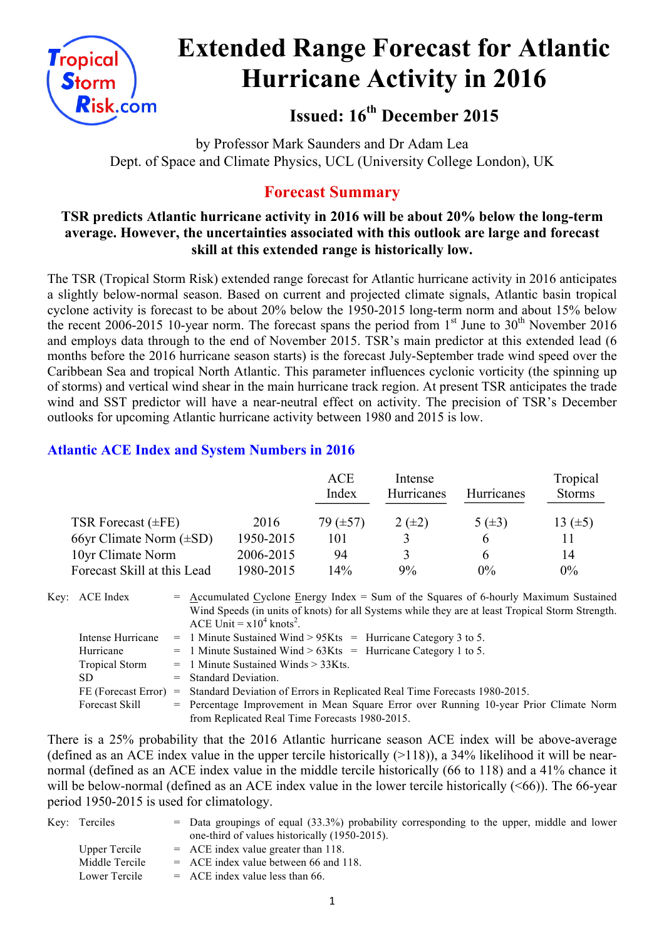

# **Extended Range Forecast for Atlantic Hurricane Activity in 2016**

**Issued: 16th December 2015**

by Professor Mark Saunders and Dr Adam Lea Dept. of Space and Climate Physics, UCL (University College London), UK

# **Forecast Summary**

## **TSR predicts Atlantic hurricane activity in 2016 will be about 20% below the long-term average. However, the uncertainties associated with this outlook are large and forecast skill at this extended range is historically low.**

The TSR (Tropical Storm Risk) extended range forecast for Atlantic hurricane activity in 2016 anticipates a slightly below-normal season. Based on current and projected climate signals, Atlantic basin tropical cyclone activity is forecast to be about 20% below the 1950-2015 long-term norm and about 15% below the recent 2006-2015 10-year norm. The forecast spans the period from  $1<sup>st</sup>$  June to  $30<sup>th</sup>$  November 2016 and employs data through to the end of November 2015. TSR's main predictor at this extended lead (6 months before the 2016 hurricane season starts) is the forecast July-September trade wind speed over the Caribbean Sea and tropical North Atlantic. This parameter influences cyclonic vorticity (the spinning up of storms) and vertical wind shear in the main hurricane track region. At present TSR anticipates the trade wind and SST predictor will have a near-neutral effect on activity. The precision of TSR's December outlooks for upcoming Atlantic hurricane activity between 1980 and 2015 is low.

# **Atlantic ACE Index and System Numbers in 2016**

|                              |           | <b>ACE</b><br>Index | Intense<br>Hurricanes | <b>Hurricanes</b> | Tropical<br><b>Storms</b> |
|------------------------------|-----------|---------------------|-----------------------|-------------------|---------------------------|
| TSR Forecast $(\pm FE)$      | 2016      | 79 $(\pm 57)$       | $2 (+2)$              | 5 $(\pm 3)$       | 13 $(\pm 5)$              |
| 66yr Climate Norm $(\pm SD)$ | 1950-2015 | 101                 |                       | h                 | 11                        |
| 10yr Climate Norm            | 2006-2015 | 94                  |                       | <sub>b</sub>      | 14                        |
| Forecast Skill at this Lead  | 1980-2015 | $14\%$              | 9%                    | $0\%$             | $0\%$                     |

Key:  $ACE Index$  = Accumulated Cyclone Energy Index = Sum of the Squares of 6-hourly Maximum Sustained Wind Speeds (in units of knots) for all Systems while they are at least Tropical Storm Strength. ACE Unit =  $x10^4$  knots<sup>2</sup>.

| Intense Hurricane     | $=$ 1 Minute Sustained Wind > 95Kts = Hurricane Category 3 to 5.                      |
|-----------------------|---------------------------------------------------------------------------------------|
| Hurricane             | $=$ 1 Minute Sustained Wind > 63Kts = Hurricane Category 1 to 5.                      |
| <b>Tropical Storm</b> | $=$ 1 Minute Sustained Winds $>$ 33Kts.                                               |
| SD.                   | $=$ Standard Deviation.                                                               |
| FE (Forecast Error)   | = Standard Deviation of Errors in Replicated Real Time Forecasts 1980-2015.           |
| Forecast Skill        | = Percentage Improvement in Mean Square Error over Running 10-year Prior Climate Norm |
|                       | from Replicated Real Time Forecasts 1980-2015.                                        |

There is a 25% probability that the 2016 Atlantic hurricane season ACE index will be above-average (defined as an ACE index value in the upper tercile historically  $(>118)$ ), a 34% likelihood it will be nearnormal (defined as an ACE index value in the middle tercile historically (66 to 118) and a 41% chance it will be below-normal (defined as an ACE index value in the lower tercile historically  $(<66$ )). The 66-year period 1950-2015 is used for climatology.

| Key: Terciles  | $=$ Data groupings of equal (33.3%) probability corresponding to the upper, middle and lower |
|----------------|----------------------------------------------------------------------------------------------|
|                | one-third of values historically (1950-2015).                                                |
| Upper Tercile  | $=$ ACE index value greater than 118.                                                        |
| Middle Tercile | $=$ ACE index value between 66 and 118.                                                      |
| Lower Tercile  | $=$ ACE index value less than 66.                                                            |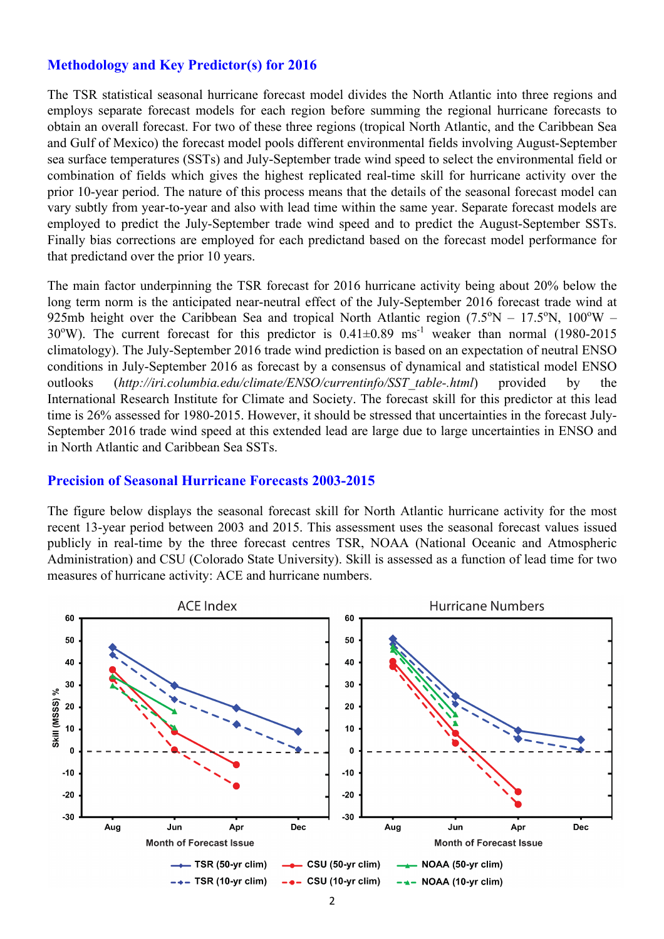## **Methodology and Key Predictor(s) for 2016**

The TSR statistical seasonal hurricane forecast model divides the North Atlantic into three regions and employs separate forecast models for each region before summing the regional hurricane forecasts to obtain an overall forecast. For two of these three regions (tropical North Atlantic, and the Caribbean Sea and Gulf of Mexico) the forecast model pools different environmental fields involving August-September sea surface temperatures (SSTs) and July-September trade wind speed to select the environmental field or combination of fields which gives the highest replicated real-time skill for hurricane activity over the prior 10-year period. The nature of this process means that the details of the seasonal forecast model can vary subtly from year-to-year and also with lead time within the same year. Separate forecast models are employed to predict the July-September trade wind speed and to predict the August-September SSTs. Finally bias corrections are employed for each predictand based on the forecast model performance for that predictand over the prior 10 years.

The main factor underpinning the TSR forecast for 2016 hurricane activity being about 20% below the long term norm is the anticipated near-neutral effect of the July-September 2016 forecast trade wind at 925mb height over the Caribbean Sea and tropical North Atlantic region  $(7.5^{\circ}N - 17.5^{\circ}N, 100^{\circ}W -$ 30°W). The current forecast for this predictor is  $0.41 \pm 0.89$  ms<sup>-1</sup> weaker than normal (1980-2015) climatology). The July-September 2016 trade wind prediction is based on an expectation of neutral ENSO conditions in July-September 2016 as forecast by a consensus of dynamical and statistical model ENSO outlooks (*http://iri.columbia.edu/climate/ENSO/currentinfo/SST\_table-.html*) provided by the International Research Institute for Climate and Society. The forecast skill for this predictor at this lead time is 26% assessed for 1980-2015. However, it should be stressed that uncertainties in the forecast July-September 2016 trade wind speed at this extended lead are large due to large uncertainties in ENSO and in North Atlantic and Caribbean Sea SSTs.

#### **Precision of Seasonal Hurricane Forecasts 2003-2015**

The figure below displays the seasonal forecast skill for North Atlantic hurricane activity for the most recent 13-year period between 2003 and 2015. This assessment uses the seasonal forecast values issued publicly in real-time by the three forecast centres TSR, NOAA (National Oceanic and Atmospheric Administration) and CSU (Colorado State University). Skill is assessed as a function of lead time for two measures of hurricane activity: ACE and hurricane numbers.